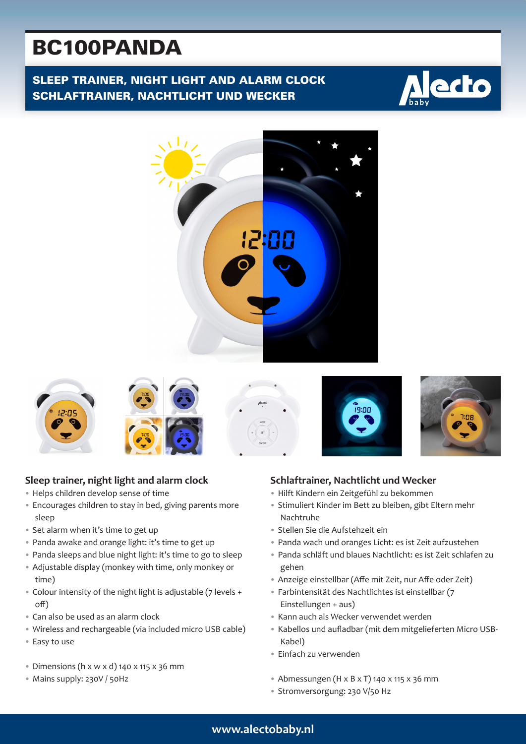# BC100PANDA

SLEEP TRAINER, NIGHT LIGHT AND ALARM CLOCK SCHLAFTRAINER, NACHTLICHT UND WECKER















## **Schlaftrainer, Nachtlicht und Wecker**

- Hilft Kindern ein Zeitgefühl zu bekommen
- Stimuliert Kinder im Bett zu bleiben, gibt Eltern mehr Nachtruhe
- Stellen Sie die Aufstehzeit ein
- Panda wach und oranges Licht: es ist Zeit aufzustehen
- Panda schläft und blaues Nachtlicht: es ist Zeit schlafen zu gehen
- Anzeige einstellbar (Affe mit Zeit, nur Affe oder Zeit)
- Farbintensität des Nachtlichtes ist einstellbar (7 Einstellungen + aus)
- Kann auch als Wecker verwendet werden
- Kabellos und aufladbar (mit dem mitgelieferten Micro USB-Kabel)
- Einfach zu verwenden
- Abmessungen (H x B x T) 140 x 115 x 36 mm
- Stromversorgung: 230 V/50 Hz
- 
- **Sleep trainer, night light and alarm clock**
- Helps children develop sense of time
- Encourages children to stay in bed, giving parents more sleep
- Set alarm when it's time to get up
- Panda awake and orange light: it's time to get up
- Panda sleeps and blue night light: it's time to go to sleep
- Adjustable display (monkey with time, only monkey or time)
- Colour intensity of the night light is adjustable (7 levels + off)
- Can also be used as an alarm clock
- Wireless and rechargeable (via included micro USB cable)
- Easy to use
- $\bullet$  Dimensions (h x w x d) 140 x 115 x 36 mm
- Mains supply: 230V / 50Hz